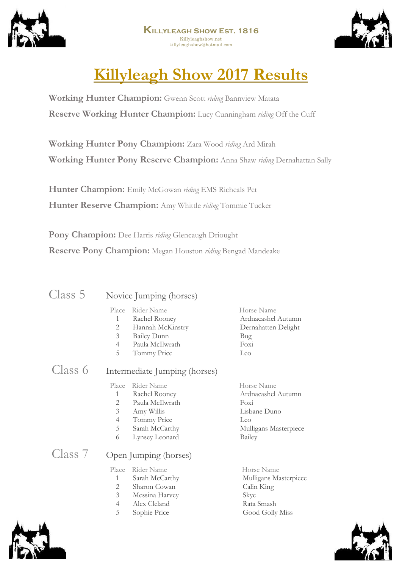



# **Killyleagh Show 2017 Results**

**Working Hunter Champion:** Gwenn Scott *riding* Bannview Matata **Reserve Working Hunter Champion:** Lucy Cunningham *riding* Off the Cuff

**Working Hunter Pony Champion:** Zara Wood *riding* Ard Mirah **Working Hunter Pony Reserve Champion:** Anna Shaw *riding* Dernahattan Sally

**Hunter Champion:** Emily McGowan *riding* EMS Richeals Pet **Hunter Reserve Champion:** Amy Whittle *riding* Tommie Tucker

**Pony Champion:** Dee Harris *riding* Glencaugh Driought **Reserve Pony Champion:** Megan Houston *riding* Bengad Mandeake

| Class 5 | Novice Jun |  |
|---------|------------|--|
|         |            |  |

#### nping (horses)

| Place Rider Name |  | Horse Name |
|------------------|--|------------|

- 1 Rachel Rooney Ardnacashel Autumn 2 Hannah McKinstry Dernahatten Delight
- 3 Bailey Dunn Bug
- 4 Paula McIlwrath Foxi
- 5 Tommy Price Leo
- 
- Class 6 Intermediate Jumping (horses) Place Rider Name Horse Name 1 Rachel Rooney Ardnacashel Autumn 2 Paula McIlwrath Foxi 3 Amy Willis Lisbane Duno 4 Tommy Price Leo 5 Sarah McCarthy Mulligans Masterpiece 6 Lynsey Leonard Bailey

Class 7 Open Jumping (horses)

Place Rider Name Horse Name 1 Sarah McCarthy Mulligans Masterpiece 2 Sharon Cowan Calin King 3 Messina Harvey Skye 4 Alex Cleland Rata Smash 5 Sophie Price Good Golly Miss



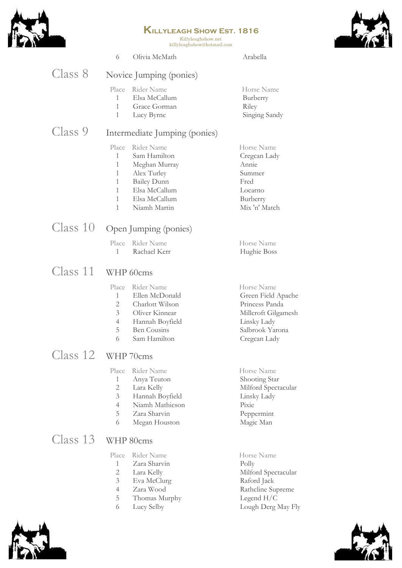

Killyleaghshow.net killyleaghshow@hotmail.com



|          | 6                                                                                                          | Olivia McMath                                                                                                                      | Arabella                                                                                                                    |
|----------|------------------------------------------------------------------------------------------------------------|------------------------------------------------------------------------------------------------------------------------------------|-----------------------------------------------------------------------------------------------------------------------------|
| Class 8  |                                                                                                            | Novice Jumping (ponies)                                                                                                            |                                                                                                                             |
|          | Place<br>$1 \quad$<br>1<br>$\mathbf{1}$                                                                    | Rider Name<br>Elsa McCallum<br>Grace Gorman<br>Lucy Byrne                                                                          | Horse Name<br>Burberry<br>Riley<br>Singing Sandy                                                                            |
| Class 9  |                                                                                                            | Intermediate Jumping (ponies)                                                                                                      |                                                                                                                             |
|          | Place<br>$\mathbf{1}$<br>$\mathbf{1}$<br>$\mathbf{1}$<br>$\mathbf{1}$<br>$\mathbf{1}$<br>$\mathbf{1}$<br>1 | Rider Name<br>Sam Hamilton<br>Meghan Murray<br>Alex Turley<br><b>Bailey Dunn</b><br>Elsa McCallum<br>Elsa McCallum<br>Niamh Martin | Horse Name<br>Cregcan Lady<br>Annie<br>Summer<br>Fred<br>Locarno<br>Burberry<br>Mix 'n' Match                               |
| Class 10 |                                                                                                            | Open Jumping (ponies)                                                                                                              |                                                                                                                             |
|          | Place<br>1                                                                                                 | Rider Name<br>Rachael Kerr                                                                                                         | Horse Name<br>Hughie Boss                                                                                                   |
| Class 11 |                                                                                                            | WHP 60cms                                                                                                                          |                                                                                                                             |
|          | Place<br>$\mathbf{1}$<br>2<br>3<br>$\overline{4}$<br>5<br>6                                                | Rider Name<br>Ellen McDonald<br>Charlott Wilson<br>Oliver Kinnear<br>Hannah Boyfield<br><b>Ben Cousins</b><br>Sam Hamilton         | Horse Name<br>Green Field Apache<br>Princess Panda<br>Millcroft Gilgamesh<br>Linsky Lady<br>Salbrook Yarona<br>Cregcan Lady |
| Class 12 |                                                                                                            | WHP 70cms                                                                                                                          |                                                                                                                             |
|          | Place<br>1<br>$\overline{2}$<br>3<br>$\overline{4}$                                                        | Rider Name<br>Anya Teuton<br>Lara Kelly<br>Hannah Boyfield<br>Niamh Mathieson                                                      | Horse Name<br>Shooting Star<br>Milford Spectacular<br>Linsky Lady<br>Pixie                                                  |

# Class 13 WHP 80cms

Place Rider Name<br>
1 Zara Sharvin<br>
Polly Zara Sharvin 2 Lara Kelly Milford Spectacular<br>3 Eva McClurg Raford Jack Eva McClurg 4 Zara Wood Rathcline Supreme 5 Thomas Murphy Legend H/C<br>6 Lucy Selby Lough Derg l Lough Derg May Fly

5 Zara Sharvin Peppermint<br>6 Megan Houston Magic Man 6 Megan Houston Magic Man



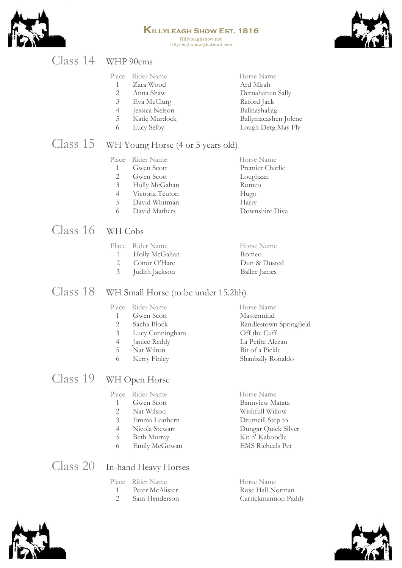

#### **Killyleagh Show Est. 1816** Killyleaghshow.net killyleaghshow@hotmail.com



## Class 14 WHP 90cms

|                | Place Rider Name | Horse Name           |
|----------------|------------------|----------------------|
|                |                  |                      |
|                | Zara Wood        | Ard Mirah            |
| 2              | Anna Shaw        | Dernahatten Sally    |
| 3              | Eva McClurg      | Raford Jack          |
| $\overline{4}$ | Jessica Nelson   | Ballnashallag        |
| 5.             | Katie Murdock    | Ballymacashen Jolene |
| 6              | Lucy Selby       | Lough Derg May Fly   |
|                |                  |                      |

# Class 15 WH Young Horse (4 or 5 years old)

|                       | Place Rider Name | Horse Name      |
|-----------------------|------------------|-----------------|
|                       | Gwen Scott       | Premier Charlie |
| $\mathcal{D}_{\cdot}$ | Gwen Scott       | Loughzan        |
| 3                     | Holly McGahan    | Romeo           |
| 4                     | Victoria Teuton  | Hugo            |
| 5                     | David Whitman    | Harry           |
| 6                     | David Mathers    | Downshire Diva  |
|                       |                  |                 |

# Class 16 WH Cobs

|               | Place Rider Name | Horse Name          |
|---------------|------------------|---------------------|
|               | 1 Holly McGahan  | Romeo               |
| $\mathcal{L}$ | Conor O'Hare     | Dun & Dusted        |
| 3             | Judith Jackson   | <b>Ballee James</b> |

# Class 18 WH Small Horse (to be under 15.2hh)

|    | Place Rider Name | Horse Name              |
|----|------------------|-------------------------|
|    | Gwen Scott       | Mastermind              |
| 2  | Sacha Block      | Randlestown Springfield |
| 3  | Lucy Cunningham  | Off the Cuff            |
| 4  | Janice Reddy     | La Petite Alezan        |
| 5. | Nat Wilton       | Bit of a Pickle         |
| 6  | Kerry Finley     | Shanbally Ronaldo       |
|    |                  |                         |

# Class 19 WH Open Horse

|                | Place Rider Name | Horse Name              |
|----------------|------------------|-------------------------|
|                | Gwen Scott       | Bannyiew Matata         |
| 2              | Nat Wilson       | Wishfull Willow         |
| 3              | Emma Leathern    | Drumcill Step to        |
| $\overline{4}$ | Nicola Stewart   | Dungar Quick Silver     |
| 5              | Beth Murray      | Kit n' Kaboodle         |
| 6              | Emily McGowan    | <b>EMS</b> Richeals Pet |
|                |                  |                         |

# Class 20 In-hand Heavy Horses

| Place Rider Name  | Horse Name          |
|-------------------|---------------------|
| - Peter McAlister | Rose Hall Norman    |
| 2 Sam Henderson   | Carrickmannon Paddy |



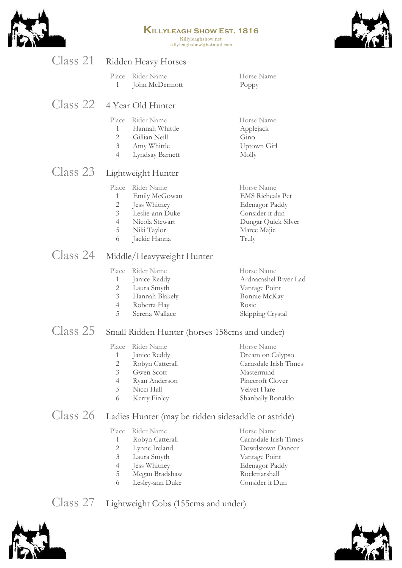

Killyleaghshow.net killyleaghshow@hotmail.com



| Class 21                   |                                                                | Ridden Heavy Horses                                                                                             |                                                                                                                           |
|----------------------------|----------------------------------------------------------------|-----------------------------------------------------------------------------------------------------------------|---------------------------------------------------------------------------------------------------------------------------|
|                            | Place<br>1                                                     | Rider Name<br>John McDermott                                                                                    | Horse Name<br>Poppy                                                                                                       |
| Class 22 4 Year Old Hunter |                                                                |                                                                                                                 |                                                                                                                           |
|                            | Place<br>$\mathbf{1}$<br>2<br>3 <sup>7</sup><br>$\overline{4}$ | Rider Name<br>Hannah Whittle<br>Gillian Neill<br>Amy Whittle<br>Lyndsay Barnett                                 | Horse Name<br>Applejack<br>Gino<br>Uptown Girl<br>Molly                                                                   |
| Class 23                   |                                                                | Lightweight Hunter                                                                                              |                                                                                                                           |
|                            | Place<br>$\mathbf{1}$<br>2<br>3 <sup>7</sup><br>4<br>5<br>6    | Rider Name<br>Emily McGowan<br>Jess Whitney<br>Leslie-ann Duke<br>Nicola Stewart<br>Niki Taylor<br>Jackie Hanna | Horse Name<br><b>EMS Richeals Pet</b><br>Edenagor Paddy<br>Consider it dun<br>Dungar Quick Silver<br>Maree Majic<br>Truly |
| Class 24                   |                                                                | Middle/Heavyweight Hunter                                                                                       |                                                                                                                           |
|                            |                                                                | Place Rider Name                                                                                                | Horse Name                                                                                                                |

|   | Place Rider Name | Horse Name            |
|---|------------------|-----------------------|
| 1 | Janice Reddy     | Ardnacashel River Lad |
|   | 2 Laura Smyth    | Vantage Point         |
|   | 3 Hannah Blakely | Bonnie McKay          |
| 4 | Roberta Hay      | Rosie                 |
| 5 | Serena Wallace   | Skipping Crystal      |
|   |                  |                       |

# Class 25 Small Ridden Hunter (horses 158cms and under)

|    | Place Rider Name | Horse Name            |
|----|------------------|-----------------------|
|    | Janice Reddy     | Dream on Calypso      |
| 2  | Robyn Catterall  | Carnsdale Irish Times |
| 3  | Gwen Scott       | Mastermind            |
| 4  | Ryan Anderson    | Pinecroft Clover      |
| 5. | Nicci Hall       | Velvet Flare          |
| 6  | Kerry Finley     | Shanbally Ronaldo     |
|    |                  |                       |

# Class 26 Ladies Hunter (may be ridden sidesaddle or astride)

|                | Place Rider Name | Horse Name            |
|----------------|------------------|-----------------------|
| 1              | Robyn Catterall  | Carnsdale Irish Times |
| 2              | Lynne Ireland    | Dowdstown Dancer      |
| 3              | Laura Smyth      | Vantage Point         |
| $\overline{4}$ | Jess Whitney     | Edenagor Paddy        |
| 5.             | Megan Bradshaw   | Rockmarshall          |
| 6              | Lesley-ann Duke  | Consider it Dun       |
|                |                  |                       |

Class 27 Lightweight Cobs (155cms and under)



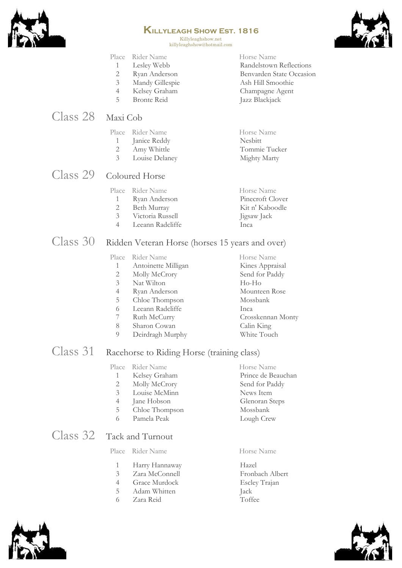

Killyleaghshow.net killyleaghshow@hotmail.com



#### Place Rider Name Horse Name

- 1 Lesley Webb Randelstown Reflections
- 2 Ryan Anderson Benvarden State Occasion
- 3 Mandy Gillespie Ash Hill Smoothie
- 4 Kelsey Graham Champagne Agent
- 5 Bronte Reid Jazz Blackjack

# Class 28 Maxi Cob

|   | Place Rider Name | Horse Name     |
|---|------------------|----------------|
| 1 | Janice Reddy     | <b>Nesbitt</b> |
| 2 | Amy Whittle      | Tommie Tucker  |
| 3 | Louise Delaney   | Mighty Marty   |

# Class 29 Coloured Horse

|          | Place Rider Name | Horse Name       |
|----------|------------------|------------------|
| $\sim$ 1 | Ryan Anderson    | Pinecroft Clover |
| 2.       | Beth Murray      | Kit n' Kaboodle  |
| $\sim$ 3 | Victoria Russell | Jigsaw Jack      |

- 
- 4 Leeann Radcliffe Inca

### Class 30 Ridden Veteran Horse (horses 15 years and over)

#### Place Rider Name Horse Name 1 Antoinette Milligan Kines Appraisal 2 Molly McCrory Send for Paddy 3 Nat Wilton Ho-Ho 4 Ryan Anderson Mounteen Rose 5 Chloe Thompson Mossbank 6 Leeann Radcliffe Inca 7 Ruth McCurry Crosskennan Monty 8 Sharon Cowan Calin King 9 Deirdragh Murphy White Touch

### Class 31 Racehorse to Riding Horse (training class)

|                           |   | Place Rider Name | Horse Name         |
|---------------------------|---|------------------|--------------------|
|                           |   | Kelsey Graham    | Prince de Beauchan |
|                           |   | Molly McCrory    | Send for Paddy     |
|                           | 3 | Louise McMinn    | News Item          |
|                           | 4 | Jane Hobson      | Glenoran Steps     |
|                           | 5 | Chloe Thompson   | Mossbank           |
|                           | 6 | Pamela Peak      | Lough Crew         |
| Class 32 Tack and Turnout |   |                  |                    |

#### Place Rider Name Horse Name

- 1 Harry Hannaway Hazel
- 3 Zara McConnell Fronbach Albert
- 4 Grace Murdock Escley Trajan
- 5 Adam Whitten Jack
- 6 Zara Reid Toffee
- 



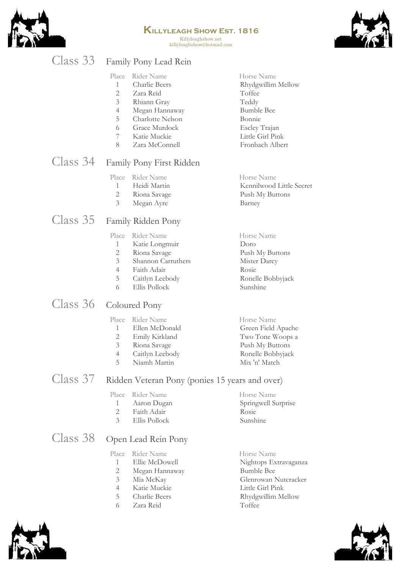

Horse Name

Horse Name

Killyleaghshow.net killyleaghshow@hotmail.com



# Class 33 Family Pony Lead Rein

| Place | Rider Name |  |
|-------|------------|--|
|       |            |  |

- 1 Charlie Beers Rhydgwillim Mellow
- 2 Zara Reid Toffee
- 3 Rhiann Gray Teddy
- 4 Megan Hannaway Bumble Bee
- 5 Charlotte Nelson Bonnie
- 6 Grace Murdock Escley Trajan
- 7 Katie Muckie Little Girl Pink
- 8 Zara McConnell Fronbach Albert

### Class 34 Family Pony First Ridden

| Place | Rider Name |
|-------|------------|
|       |            |

- 1 Heidi Martin Kennilwood Little Secret
- 2 Riona Savage Push My Buttons
- 3 Megan Ayre Barney

### Class 35 Family Ridden Pony

#### Place Rider Name Horse Name

- 1 Katie Longmuir Doro
- 2 Riona Savage Push My Buttons
- 3 Shannon Carruthers Mister Darcy
- 4 Faith Adair Rosie
- 5 Caitlyn Leebody Ronelle Bobbyjack
- 6 Ellis Pollock Sunshine

### Class 36 Coloured Pony

#### Place Rider Name Horse Name<br>1 Ellen McDonald Green Field 1 Ellen McDonald Green Field Apache 2 Emily Kirkland Two Tone Woops a 3 Riona Savage Push My Buttons 4 Caitlyn Leebody Ronelle Bobbyjack 5 Niamh Martin Mix 'n' Match

### Class 37 Ridden Veteran Pony (ponies 15 years and over)

#### Place Rider Name Horse Name 1 Aaron Dugan Springwell Surprise 2 Faith Adair Rosie

3 Ellis Pollock Sunshine

## Class 38 Open Lead Rein Pony

#### Place Rider Name Horse Name

- 1 Ellie McDowell Nightops Extravaganza
- 2 Megan Hannaway Bumble Bee
- 
- 4 Katie Muckie Little Girl Pink
- 
- 6 Zara Reid Toffee
- 
- 3 Mia McKay Glenrowan Nutcracker 5 Charlie Beers Rhydgwillim Mellow

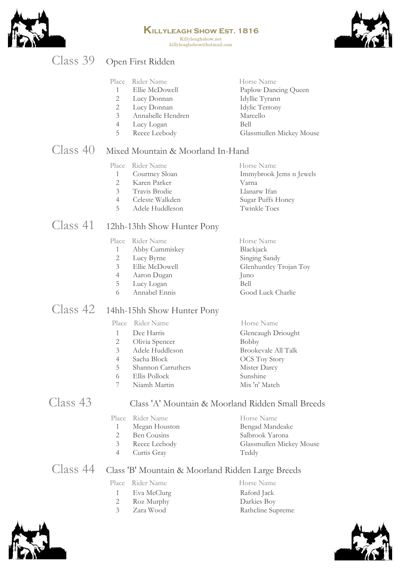

Killyleaghshow.net killyleaghshow@hotmail.com



# Class 39 Open First Ridden

| Place | Rider Name |
|-------|------------|
|       |            |

- Ellie McDowell Paplow Dancing Queen
- 
- Annabelle Hendren Marcello
- Lucy Logan Bell
- 

2 Lucy Donnan Idyllic Tyrann<br>2 Lucy Donnan Idylic Terrony Lucy Donnan Idylic Terrony Reece Leebody Glassmullen Mickey Mouse

Horse Name

# Class 40 Mixed Mountain & Moorland In-Hand

|                | Place Rider Name | Horse Name              |
|----------------|------------------|-------------------------|
|                | 1 Courtney Sloan | Immybrook Jems n Jewels |
| $2^{\circ}$    | Karen Parker     | Varna                   |
|                | 3 Travis Brodie  | Llanarw Ifan            |
| $\overline{4}$ | Celeste Walkden  | Sugar Puffs Honey       |
| - 5 -          | Adele Huddleson  | Twinkle Toes            |
|                |                  |                         |

# Class 41 12hh-13hh Show Hunter Pony

|   | Place Rider Name | Horse Name             |
|---|------------------|------------------------|
| 1 | Abby Cummiskey   | Blackjack              |
| 2 | Lucy Byrne       | Singing Sandy          |
| 3 | Ellie McDowell   | Glenhuntley Trojan Toy |
| 4 | Aaron Dugan      | Juno                   |
| 5 | Lucy Logan       | Bell                   |
|   | Annabel Ennis    | Good Luck Charlie      |

# Class 42 14hh-15hh Show Hunter Pony

|   | Place Rider Name   | Horse Name           |
|---|--------------------|----------------------|
|   | Dee Harris         | Glencaugh Driought   |
| 2 | Olivia Spencer     | Bobby                |
| 3 | Adele Huddleson    | Brookevale All Talk  |
| 4 | Sacha Block        | <b>OCS</b> Toy Story |
| 5 | Shannon Carruthers | Mister Darcy         |
| 6 | Ellis Pollock      | Sunshine             |
|   | Niamh Martin       | Mix 'n' Match        |
|   |                    |                      |

#### Class 43 Class 'A' Mountain & Moorland Ridden Small Breeds

|              | Place Rider Name | Horse Name               |
|--------------|------------------|--------------------------|
|              |                  |                          |
| $\mathbf{1}$ | Megan Houston    | Bengad Mandeake          |
| 2            | Ben Cousins      | Salbrook Yarona          |
| 3            | Reece Leebody    | Glassmullen Mickey Mouse |
| 4            | Curtis Gray      | Teddy                    |
|              |                  |                          |

# Class 44 Class 'B' Mountain & Moorland Ridden Large Breeds

#### Place Rider Name Horse Name 1 Eva McClurg Raford Jack

- 
- 
- Roz Murphy Darkies Boy Zara Wood Rathcline Supreme



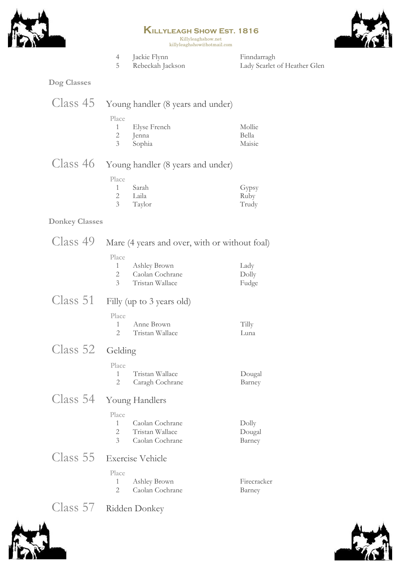



**Killyleagh Show Est. 1816** Killyleaghshow.net killyleaghshow@hotmail.com 4 Jackie Flynn Finndarragh<br>5 Rebeckah Jackson Lady Scarlet 5 Rebeckah Jackson Lady Scarlet of Heather Glen **Dog Classes** Class 45 Young handler (8 years and under) Place 1 Elyse French Mollie<br>2 Jenna Bella Bella Jenna 3 Sophia Maisie Class 46 Young handler (8 years and under) Place 1 Sarah Gypsy<br>2 Laila Ruby 2 Laila Ruby 3 Taylor Trudy **Donkey Classes** Class 49 Mare (4 years and over, with or without foal)  $\overline{P}$ 

| Ashley Brown    | Lady  |
|-----------------|-------|
| Caolan Cochrane | Dolly |
| Tristan Wallace | Fudge |
|                 |       |

Class 51 Filly (up to 3 years old)

| Place |                 |       |
|-------|-----------------|-------|
|       | - Anne Brown    | Tilly |
|       | Tristan Wallace | Luna  |

Class 52 Gelding

| Place |                 |        |
|-------|-----------------|--------|
|       | Tristan Wallace | Dougal |
|       | Caragh Cochrane | Barney |

# Class 54 Young Handlers

| Place         |                 |        |
|---------------|-----------------|--------|
|               | Caolan Cochrane | Dolly  |
| $\mathcal{P}$ | Tristan Wallace | Dougal |
|               | Caolan Cochrane | Barney |

# Class 55 Exercise Vehicle

| Place |                   |             |
|-------|-------------------|-------------|
|       | Ashley Brown      | Firecracker |
|       | - Caolan Cochrane | Barney      |

# Class 57 Ridden Donkey